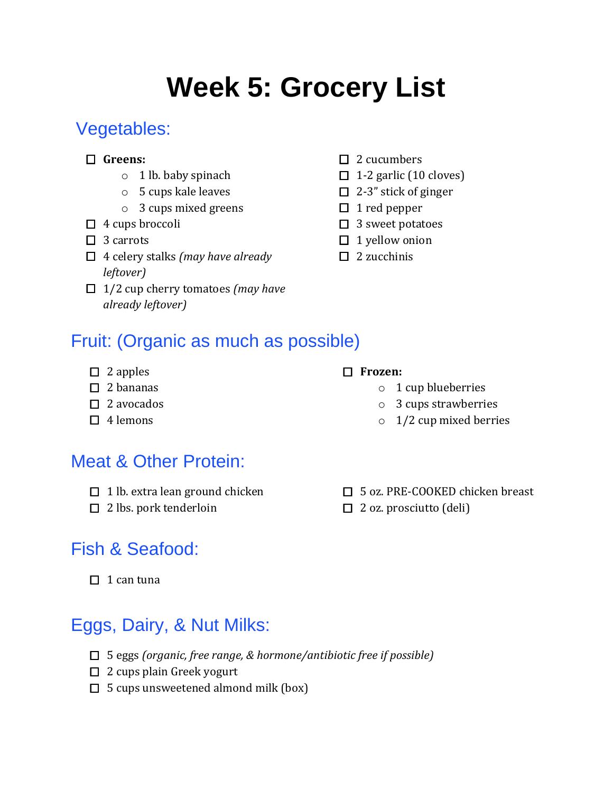# **Week 5: Grocery List**

# Vegetables:

- **Greens:**
	- o 1 lb. baby spinach
	- o 5 cups kale leaves
	- o 3 cups mixed greens
- $\Box$  4 cups broccoli
- $\Box$  3 carrots
- 4 celery stalks *(may have already leftover)*
- 1/2 cup cherry tomatoes *(may have already leftover)*

 $\Box$  1-2 garlic (10 cloves)

 $\square$  2 cucumbers

- $\Box$  2-3" stick of ginger
- $\Box$  1 red pepper
- $\Box$  3 sweet potatoes
- $\Box$  1 yellow onion
- $\Box$  2 zucchinis

#### Fruit: (Organic as much as possible)

 $\Box$  2 apples

#### $\square$  2 bananas

- $\Box$  2 avocados
- $\Box$  4 lemons

## Meat & Other Protein:

- $\Box$  1 lb. extra lean ground chicken
- $\square$  2 lbs. pork tenderloin

## Fish & Seafood:

 $\Box$  1 can tuna

# Eggs, Dairy, & Nut Milks:

- 5 eggs *(organic, free range, & hormone/antibiotic free if possible)*
- $\Box$  2 cups plain Greek yogurt
- $\Box$  5 cups unsweetened almond milk (box)

#### o 3 cups strawberries

**Frozen:**

 $\circ$  1/2 cup mixed berries

o 1 cup blueberries

□ 5 oz. PRE-COOKED chicken breast  $\Box$  2 oz. prosciutto (deli)